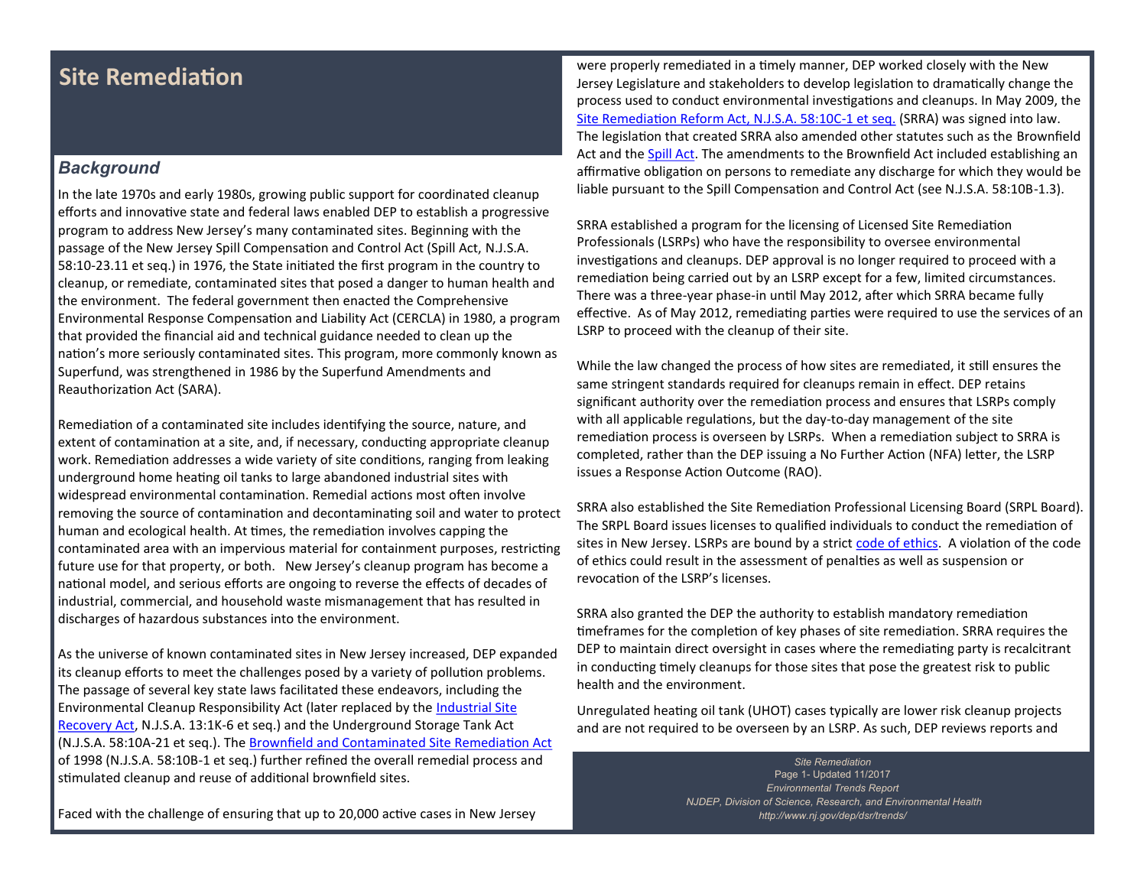# **Site Remediation**

### *Background*

In the late 1970s and early 1980s, growing public support for coordinated cleanup efforts and innovative state and federal laws enabled DEP to establish a progressive program to address New Jersey's many contaminated sites. Beginning with the passage of the New Jersey Spill Compensation and Control Act (Spill Act, N.J.S.A. 58:10-23.11 et seq.) in 1976, the State initiated the first program in the country to cleanup, or remediate, contaminated sites that posed a danger to human health and the environment. The federal government then enacted the Comprehensive Environmental Response Compensation and Liability Act (CERCLA) in 1980, a program that provided the financial aid and technical guidance needed to clean up the nation's more seriously contaminated sites. This program, more commonly known as Superfund, was strengthened in 1986 by the Superfund Amendments and Reauthorization Act (SARA).

Remediation of a contaminated site includes identifying the source, nature, and extent of contamination at a site, and, if necessary, conducting appropriate cleanup work. Remediation addresses a wide variety of site conditions, ranging from leaking underground home heating oil tanks to large abandoned industrial sites with widespread environmental contamination. Remedial actions most often involve removing the source of contamination and decontaminating soil and water to protect human and ecological health. At times, the remediation involves capping the contaminated area with an impervious material for containment purposes, restricting future use for that property, or both. New Jersey's cleanup program has become a national model, and serious efforts are ongoing to reverse the effects of decades of industrial, commercial, and household waste mismanagement that has resulted in discharges of hazardous substances into the environment.

As the universe of known contaminated sites in New Jersey increased, DEP expanded its cleanup efforts to meet the challenges posed by a variety of pollution problems. The passage of several key state laws facilitated these endeavors, including the Environmental Cleanup Responsibility Act (later replaced by the [Industrial Site](http://www.nj.gov/dep/srp/regs/statutes/isra.pdf)  [Recovery Act,](http://www.nj.gov/dep/srp/regs/statutes/isra.pdf) N.J.S.A. 13:1K-6 et seq.) and the Underground Storage Tank Act (N.J.S.A. 58:10A-21 et seq.). The [Brownfield and Contaminated Site Remediation Act](http://www.nj.gov/dep/srp/regs/statutes/bcsra.pdf) of 1998 (N.J.S.A. 58:10B-1 et seq.) further refined the overall remedial process and stimulated cleanup and reuse of additional brownfield sites.

Faced with the challenge of ensuring that up to 20,000 active cases in New Jersey

were properly remediated in a timely manner, DEP worked closely with the New Jersey Legislature and stakeholders to develop legislation to dramatically change the process used to conduct environmental investigations and cleanups. In May 2009, the [Site Remediation Reform Act, N.J.S.A. 58:10C](http://www.nj.gov/dep/srp/regs/statutes/srra.pdf)-1 et seq. (SRRA) was signed into law. The legislation that created SRRA also amended other statutes such as the Brownfield Act and the [Spill Act.](http://www.nj.gov/dep/srp/regs/statutes/spill_act.pdf) The amendments to the Brownfield Act included establishing an affirmative obligation on persons to remediate any discharge for which they would be liable pursuant to the Spill Compensation and Control Act (see N.J.S.A. 58:10B-1.3).

SRRA established a program for the licensing of Licensed Site Remediation Professionals (LSRPs) who have the responsibility to oversee environmental investigations and cleanups. DEP approval is no longer required to proceed with a remediation being carried out by an LSRP except for a few, limited circumstances. There was a three-year phase-in until May 2012, after which SRRA became fully effective. As of May 2012, remediating parties were required to use the services of an LSRP to proceed with the cleanup of their site.

While the law changed the process of how sites are remediated, it still ensures the same stringent standards required for cleanups remain in effect. DEP retains significant authority over the remediation process and ensures that LSRPs comply with all applicable regulations, but the day-to-day management of the site remediation process is overseen by LSRPs. When a remediation subject to SRRA is completed, rather than the DEP issuing a No Further Action (NFA) letter, the LSRP issues a Response Action Outcome (RAO).

SRRA also established the Site Remediation Professional Licensing Board (SRPL Board). The SRPL Board issues licenses to qualified individuals to conduct the remediation of sites in New Jersey. LSRPs are bound by a strict [code of ethics.](http://www.nj.gov/dep/srp/srra/lsrp/ethics.htm) A violation of the code of ethics could result in the assessment of penalties as well as suspension or revocation of the LSRP's licenses.

SRRA also granted the DEP the authority to establish mandatory remediation timeframes for the completion of key phases of site remediation. SRRA requires the DEP to maintain direct oversight in cases where the remediating party is recalcitrant in conducting timely cleanups for those sites that pose the greatest risk to public health and the environment.

Unregulated heating oil tank (UHOT) cases typically are lower risk cleanup projects and are not required to be overseen by an LSRP. As such, DEP reviews reports and

> *Site Remediation* Page 1- Updated 11/2017 *Environmental Trends Report NJDEP, Division of Science, Research, and Environmental Health http://www.nj.gov/dep/dsr/trends/*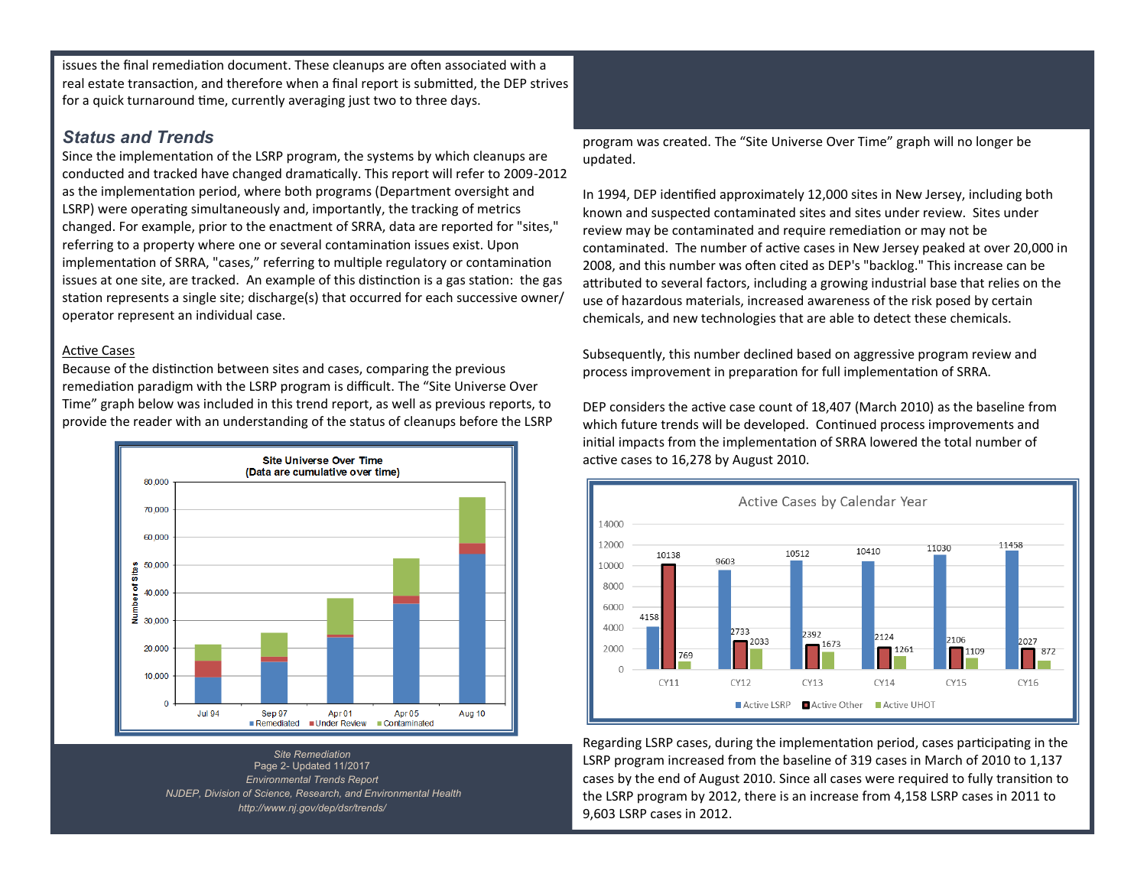issues the final remediation document. These cleanups are often associated with a real estate transaction, and therefore when a final report is submitted, the DEP strives for a quick turnaround time, currently averaging just two to three days.

### *Status and Trends*

Since the implementation of the LSRP program, the systems by which cleanups are conducted and tracked have changed dramatically. This report will refer to 2009-2012 as the implementation period, where both programs (Department oversight and LSRP) were operating simultaneously and, importantly, the tracking of metrics changed. For example, prior to the enactment of SRRA, data are reported for "sites," referring to a property where one or several contamination issues exist. Upon implementation of SRRA, "cases," referring to multiple regulatory or contamination issues at one site, are tracked. An example of this distinction is a gas station: the gas station represents a single site; discharge(s) that occurred for each successive owner/ operator represent an individual case.

#### Active Cases

Because of the distinction between sites and cases, comparing the previous remediation paradigm with the LSRP program is difficult. The "Site Universe Over Time" graph below was included in this trend report, as well as previous reports, to provide the reader with an understanding of the status of cleanups before the LSRP



*Site Remediation* Page 2- Updated 11/2017 *Environmental Trends Report NJDEP, Division of Science, Research, and Environmental Health http://www.nj.gov/dep/dsr/trends/*

program was created. The "Site Universe Over Time" graph will no longer be updated.

In 1994, DEP identified approximately 12,000 sites in New Jersey, including both known and suspected contaminated sites and sites under review. Sites under review may be contaminated and require remediation or may not be contaminated. The number of active cases in New Jersey peaked at over 20,000 in 2008, and this number was often cited as DEP's "backlog." This increase can be attributed to several factors, including a growing industrial base that relies on the use of hazardous materials, increased awareness of the risk posed by certain chemicals, and new technologies that are able to detect these chemicals.

Subsequently, this number declined based on aggressive program review and process improvement in preparation for full implementation of SRRA.

DEP considers the active case count of 18,407 (March 2010) as the baseline from which future trends will be developed. Continued process improvements and initial impacts from the implementation of SRRA lowered the total number of active cases to 16,278 by August 2010.



Regarding LSRP cases, during the implementation period, cases participating in the LSRP program increased from the baseline of 319 cases in March of 2010 to 1,137 cases by the end of August 2010. Since all cases were required to fully transition to the LSRP program by 2012, there is an increase from 4,158 LSRP cases in 2011 to 9,603 LSRP cases in 2012.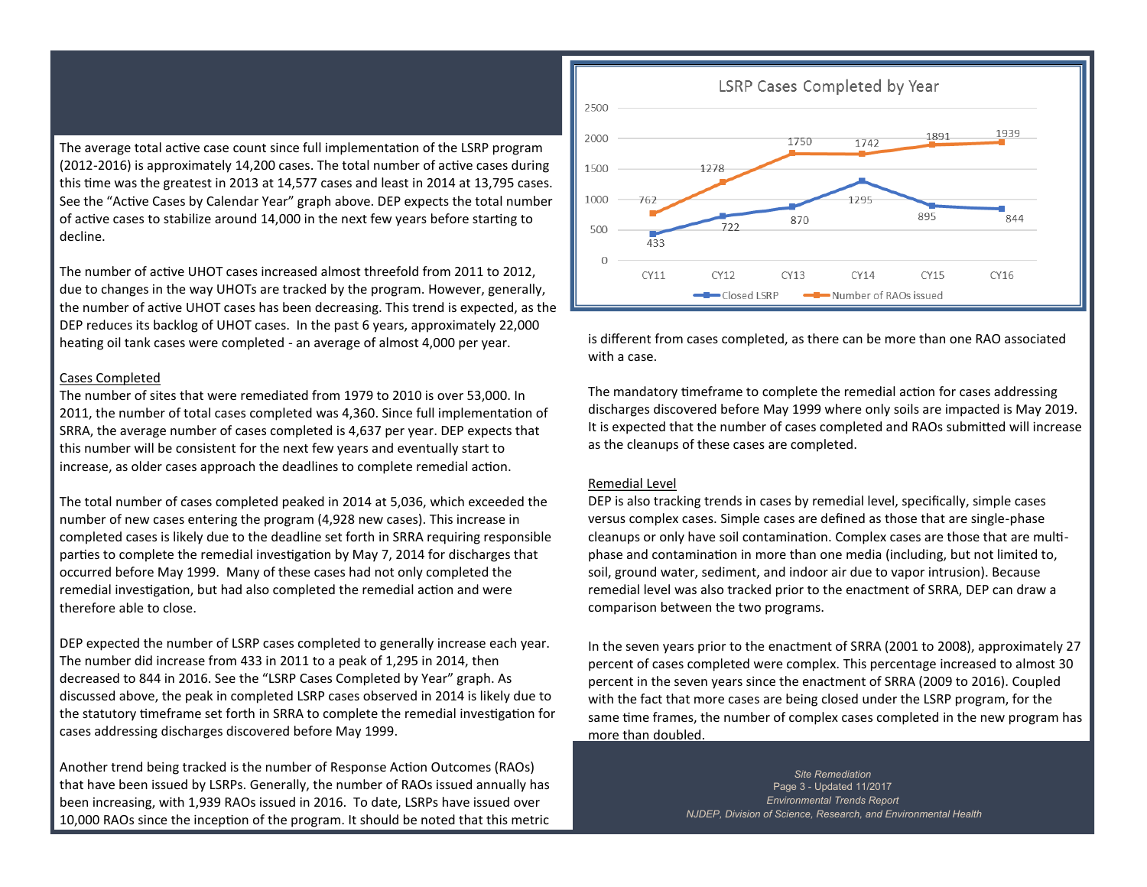The average total active case count since full implementation of the LSRP program (2012-2016) is approximately 14,200 cases. The total number of active cases during this time was the greatest in 2013 at 14,577 cases and least in 2014 at 13,795 cases. See the "Active Cases by Calendar Year" graph above. DEP expects the total number of active cases to stabilize around 14,000 in the next few years before starting to decline.

The number of active UHOT cases increased almost threefold from 2011 to 2012, due to changes in the way UHOTs are tracked by the program. However, generally, the number of active UHOT cases has been decreasing. This trend is expected, as the DEP reduces its backlog of UHOT cases. In the past 6 years, approximately 22,000 heating oil tank cases were completed - an average of almost 4,000 per year.

#### Cases Completed

The number of sites that were remediated from 1979 to 2010 is over 53,000. In 2011, the number of total cases completed was 4,360. Since full implementation of SRRA, the average number of cases completed is 4,637 per year. DEP expects that this number will be consistent for the next few years and eventually start to increase, as older cases approach the deadlines to complete remedial action.

The total number of cases completed peaked in 2014 at 5,036, which exceeded the number of new cases entering the program (4,928 new cases). This increase in completed cases is likely due to the deadline set forth in SRRA requiring responsible parties to complete the remedial investigation by May 7, 2014 for discharges that occurred before May 1999. Many of these cases had not only completed the remedial investigation, but had also completed the remedial action and were therefore able to close.

DEP expected the number of LSRP cases completed to generally increase each year. The number did increase from 433 in 2011 to a peak of 1,295 in 2014, then decreased to 844 in 2016. See the "LSRP Cases Completed by Year" graph. As discussed above, the peak in completed LSRP cases observed in 2014 is likely due to the statutory timeframe set forth in SRRA to complete the remedial investigation for cases addressing discharges discovered before May 1999.

Another trend being tracked is the number of Response Action Outcomes (RAOs) that have been issued by LSRPs. Generally, the number of RAOs issued annually has been increasing, with 1,939 RAOs issued in 2016. To date, LSRPs have issued over 10,000 RAOs since the inception of the program. It should be noted that this metric



is different from cases completed, as there can be more than one RAO associated with a case.

The mandatory timeframe to complete the remedial action for cases addressing discharges discovered before May 1999 where only soils are impacted is May 2019. It is expected that the number of cases completed and RAOs submitted will increase as the cleanups of these cases are completed.

#### Remedial Level

DEP is also tracking trends in cases by remedial level, specifically, simple cases versus complex cases. Simple cases are defined as those that are single-phase cleanups or only have soil contamination. Complex cases are those that are multiphase and contamination in more than one media (including, but not limited to, soil, ground water, sediment, and indoor air due to vapor intrusion). Because remedial level was also tracked prior to the enactment of SRRA, DEP can draw a comparison between the two programs.

In the seven years prior to the enactment of SRRA (2001 to 2008), approximately 27 percent of cases completed were complex. This percentage increased to almost 30 percent in the seven years since the enactment of SRRA (2009 to 2016). Coupled with the fact that more cases are being closed under the LSRP program, for the same time frames, the number of complex cases completed in the new program has more than doubled.

> *Site Remediation* Page 3 - Updated 11/2017 *Environmental Trends Report NJDEP, Division of Science, Research, and Environmental Health*